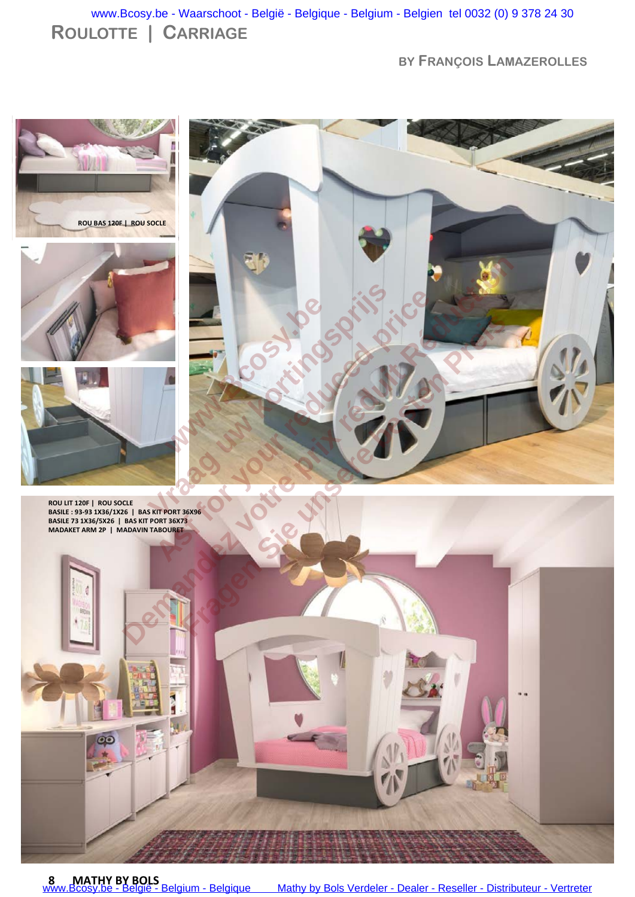**ROULOTTE | CARRIAGE** [www.Bcosy.be - Waarschoot - België - Belgique - Belgium - Belgien tel 0032 \(0\) 9 378 24 30](https://www.bcosy.be/)

**BY FRANÇOIS LAMAZEROLLES**







**ROU LIT 120F | ROU SOCLE BASILE : 93-93 1X36/1X26 | BAS KIT PORT 36X96 BASILE 73 1X36/5X26 | BAS KIT PORT 36X73 MADAKET ARM 2P | MADAVIN TABOURET** 

00